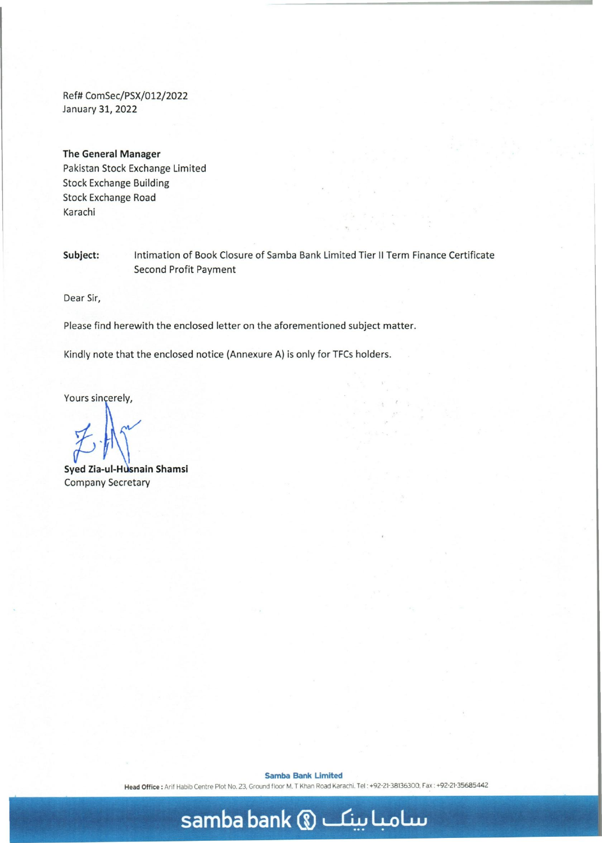Ref# ComSec/PSX/012/2022 January 31, 2022

## **The General Manager**

Pakistan Stock Exchange Limited Stock Exchange Building Stock Exchange Road Karachi

**Subject:** Intimation of Book Closure of Samba Bank Limited Tier II Term Finance Certificate Second Profit Payment

Dear Sir,

Please find herewith the enclosed letter on the aforementioned subject matter.

Kindly note that the enclosed notice (Annexure A) is only for TFCs holders.

Yours sincerely,

**Syed Zia-ul-Husnain Shamsi** Company Secretary

**Samba Bank Limited** 

Head Office: Arif Habib Centre Plot No. 23, Ground floor M. T Khan Road Karachi. Tel: +92-21-38136300, Fax: +92-21-35685442

## **samba bank (i) ~ 4-olLu**